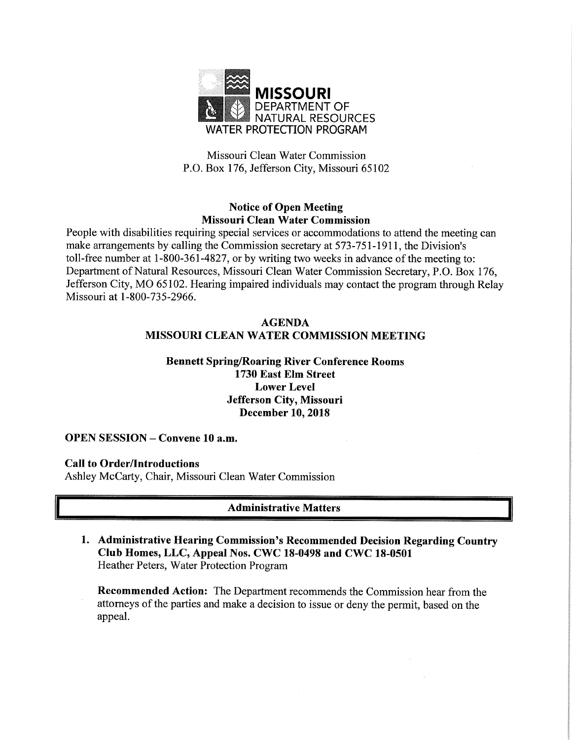

Missouri Clean Water Commission P.O. Box 176, Jefferson City, Missouri 65102

# Notice of Open Meeting Missouri Clean Water Commission

People with disabilities requiring special services or accommodations to attend the meeting can make arrangements by calling the Commission secretary at 573-751-1911, the Division's toll-free number at 1-800-361-4827, or by writing two weeks in advance of the meeting to: Department of Natural Resources, Missouri Clean Water Commission Secretary, P.O. Box 176, Jefferson City, MO 65102. Hearing impaired individuals may contact the program through Relay Missouri at 1-800-735-2966.

# AGENDA MISSOURI CLEAN WATER COMMISSION MEETING

# Bennett Spring/Roaring River Conference Rooms 1730 East Elm Street Lower Level Jefferson City, Missouri December 10, 2018

## OPEN SESSION — Convene 10 a.m.

## Call to Order/Introductions

Ashley McCarty, Chair, Missouri Clean Water Commission

# Administrative Matters

1. Administrative Hearing Commission's Recommended Decision Regarding Country Club Homes, LLC, Appeal Nos. CWC 18-0498 and CWC 18-0501 Heather Peters, Water Protection Program

Recommended Action: The Department recommends the Commission hear from the attorneys of the parties and make a decision to issue or deny the permit, based on the appeal.